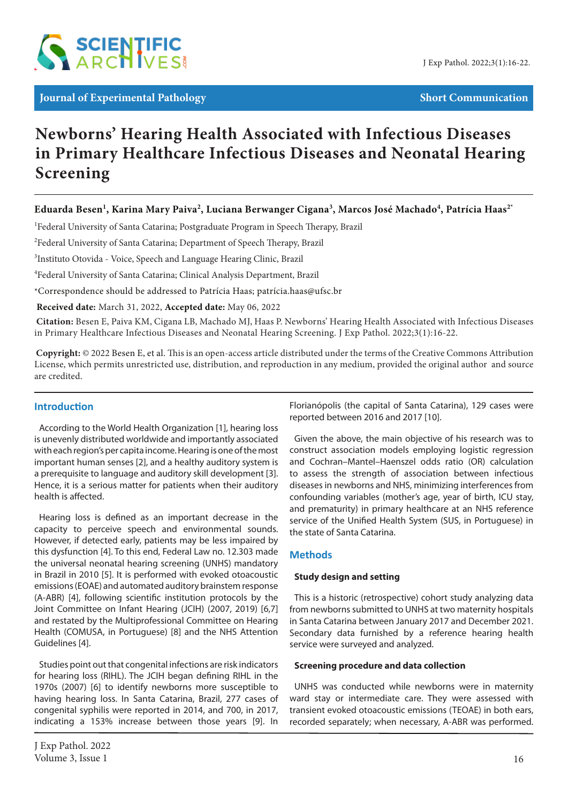

# **Newborns' Hearing Health Associated with Infectious Diseases in Primary Healthcare Infectious Diseases and Neonatal Hearing Screening**

# **Eduarda Besen1 , Karina Mary Paiva2 , Luciana Berwanger Cigana3 , Marcos José Machado4 , Patrícia Haas2\***

<sup>1</sup>Federal University of Santa Catarina; Postgraduate Program in Speech Therapy, Brazil

<sup>2</sup>Federal University of Santa Catarina; Department of Speech Therapy, Brazil

<sup>3</sup>Instituto Otovida - Voice, Speech and Language Hearing Clinic, Brazil

4 Federal University of Santa Catarina; Clinical Analysis Department, Brazil

\*Correspondence should be addressed to Patrícia Haas; patrícia.haas@ufsc.br

 **Received date:** March 31, 2022, **Accepted date:** May 06, 2022

**Citation:** Besen E, Paiva KM, Cigana LB, Machado MJ, Haas P. Newborns' Hearing Health Associated with Infectious Diseases in Primary Healthcare Infectious Diseases and Neonatal Hearing Screening. J Exp Pathol. 2022;3(1):16-22.

 **Copyright:** © 2022 Besen E, et al. This is an open-access article distributed under the terms of the Creative Commons Attribution License, which permits unrestricted use, distribution, and reproduction in any medium, provided the original author and source are credited.

# **Introduction**

According to the World Health Organization [1], hearing loss is unevenly distributed worldwide and importantly associated with each region's per capita income. Hearing is one of the most important human senses [2], and a healthy auditory system is a prerequisite to language and auditory skill development [3]. Hence, it is a serious matter for patients when their auditory health is affected.

Hearing loss is defined as an important decrease in the capacity to perceive speech and environmental sounds. However, if detected early, patients may be less impaired by this dysfunction [4]. To this end, Federal Law no. 12.303 made the universal neonatal hearing screening (UNHS) mandatory in Brazil in 2010 [5]. It is performed with evoked otoacoustic emissions (EOAE) and automated auditory brainstem response (A-ABR) [4], following scientific institution protocols by the Joint Committee on Infant Hearing (JCIH) (2007, 2019) [6,7] and restated by the Multiprofessional Committee on Hearing Health (COMUSA, in Portuguese) [8] and the NHS Attention Guidelines [4].

Studies point out that congenital infections are risk indicators for hearing loss (RIHL). The JCIH began defining RIHL in the 1970s (2007) [6] to identify newborns more susceptible to having hearing loss. In Santa Catarina, Brazil, 277 cases of congenital syphilis were reported in 2014, and 700, in 2017, indicating a 153% increase between those years [9]. In

Florianópolis (the capital of Santa Catarina), 129 cases were reported between 2016 and 2017 [10].

Given the above, the main objective of his research was to construct association models employing logistic regression and Cochran–Mantel–Haenszel odds ratio (OR) calculation to assess the strength of association between infectious diseases in newborns and NHS, minimizing interferences from confounding variables (mother's age, year of birth, ICU stay, and prematurity) in primary healthcare at an NHS reference service of the Unified Health System (SUS, in Portuguese) in the state of Santa Catarina.

## **Methods**

#### **Study design and setting**

This is a historic (retrospective) cohort study analyzing data from newborns submitted to UNHS at two maternity hospitals in Santa Catarina between January 2017 and December 2021. Secondary data furnished by a reference hearing health service were surveyed and analyzed.

#### **Screening procedure and data collection**

UNHS was conducted while newborns were in maternity ward stay or intermediate care. They were assessed with transient evoked otoacoustic emissions (TEOAE) in both ears, recorded separately; when necessary, A-ABR was performed.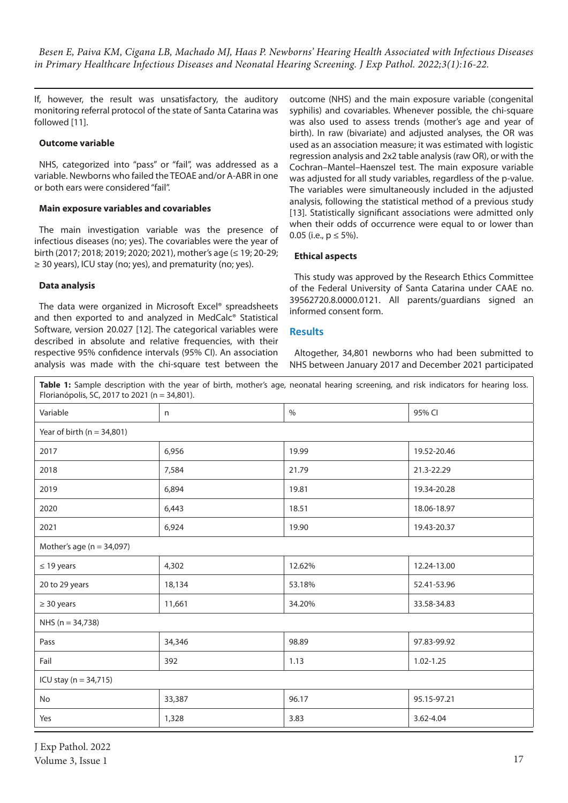If, however, the result was unsatisfactory, the auditory monitoring referral protocol of the state of Santa Catarina was followed [11].

### **Outcome variable**

NHS, categorized into "pass" or "fail", was addressed as a variable. Newborns who failed the TEOAE and/or A-ABR in one or both ears were considered "fail".

#### **Main exposure variables and covariables**

The main investigation variable was the presence of infectious diseases (no; yes). The covariables were the year of birth (2017; 2018; 2019; 2020; 2021), mother's age (≤ 19; 20-29; ≥ 30 years), ICU stay (no; yes), and prematurity (no; yes).

#### **Data analysis**

The data were organized in Microsoft Excel® spreadsheets and then exported to and analyzed in MedCalc® Statistical Software, version 20.027 [12]. The categorical variables were described in absolute and relative frequencies, with their respective 95% confidence intervals (95% CI). An association analysis was made with the chi-square test between the outcome (NHS) and the main exposure variable (congenital syphilis) and covariables. Whenever possible, the chi-square was also used to assess trends (mother's age and year of birth). In raw (bivariate) and adjusted analyses, the OR was used as an association measure; it was estimated with logistic regression analysis and 2x2 table analysis (raw OR), or with the Cochran–Mantel–Haenszel test. The main exposure variable was adjusted for all study variables, regardless of the p-value. The variables were simultaneously included in the adjusted analysis, following the statistical method of a previous study [13]. Statistically significant associations were admitted only when their odds of occurrence were equal to or lower than 0.05 (i.e.,  $p \le 5\%$ ).

#### **Ethical aspects**

This study was approved by the Research Ethics Committee of the Federal University of Santa Catarina under CAAE no. 39562720.8.0000.0121. All parents/guardians signed an informed consent form.

#### **Results**

Altogether, 34,801 newborns who had been submitted to NHS between January 2017 and December 2021 participated

**Table 1:** Sample description with the year of birth, mother's age, neonatal hearing screening, and risk indicators for hearing loss. Florianópolis, SC, 2017 to 2021 (n = 34,801).

| Variable                       | n      | $\%$   | 95% CI        |  |
|--------------------------------|--------|--------|---------------|--|
| Year of birth ( $n = 34,801$ ) |        |        |               |  |
| 2017                           | 6,956  | 19.99  | 19.52-20.46   |  |
| 2018                           | 7,584  | 21.79  | 21.3-22.29    |  |
| 2019                           | 6,894  | 19.81  | 19.34-20.28   |  |
| 2020                           | 6,443  | 18.51  | 18.06-18.97   |  |
| 2021                           | 6,924  | 19.90  | 19.43-20.37   |  |
| Mother's age ( $n = 34,097$ )  |        |        |               |  |
| $\leq$ 19 years                | 4,302  | 12.62% | 12.24-13.00   |  |
| 20 to 29 years                 | 18,134 | 53.18% | 52.41-53.96   |  |
| $\geq$ 30 years                | 11,661 | 34.20% | 33.58-34.83   |  |
| NHS ( $n = 34,738$ )           |        |        |               |  |
| Pass                           | 34,346 | 98.89  | 97.83-99.92   |  |
| Fail                           | 392    | 1.13   | $1.02 - 1.25$ |  |
| ICU stay ( $n = 34,715$ )      |        |        |               |  |
| No                             | 33,387 | 96.17  | 95.15-97.21   |  |
| Yes                            | 1,328  | 3.83   | 3.62-4.04     |  |
|                                |        |        |               |  |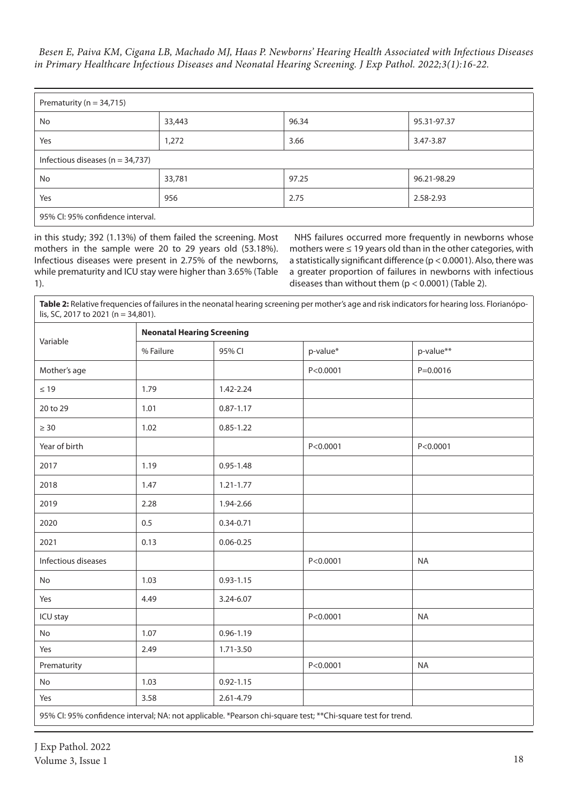*Besen E, Paiva KM, Cigana LB, Machado MJ, Haas P. Newborns' Hearing Health Associated with Infectious Diseases in Primary Healthcare Infectious Diseases and Neonatal Hearing Screening. J Exp Pathol. 2022;3(1):16-22.*

| Prematurity ( $n = 34,715$ )         |        |       |             |
|--------------------------------------|--------|-------|-------------|
| No                                   | 33,443 | 96.34 | 95.31-97.37 |
| Yes                                  | 1,272  | 3.66  | 3.47-3.87   |
| Infectious diseases ( $n = 34,737$ ) |        |       |             |
| No                                   | 33,781 | 97.25 | 96.21-98.29 |
| Yes                                  | 956    | 2.75  | 2.58-2.93   |
| 95% CI: 95% confidence interval.     |        |       |             |

in this study; 392 (1.13%) of them failed the screening. Most mothers in the sample were 20 to 29 years old (53.18%). Infectious diseases were present in 2.75% of the newborns, while prematurity and ICU stay were higher than 3.65% (Table 1).

NHS failures occurred more frequently in newborns whose mothers were ≤ 19 years old than in the other categories, with a statistically significant difference (p < 0.0001). Also, there was a greater proportion of failures in newborns with infectious diseases than without them  $(p < 0.0001)$  (Table 2).

**Table 2:** Relative frequencies of failures in the neonatal hearing screening per mother's age and risk indicators for hearing loss. Florianópolis, SC, 2017 to 2021 (n = 34,801).

| Variable                                                                                                    | <b>Neonatal Hearing Screening</b> |               |            |              |  |
|-------------------------------------------------------------------------------------------------------------|-----------------------------------|---------------|------------|--------------|--|
|                                                                                                             | % Failure                         | 95% CI        | p-value*   | p-value**    |  |
| Mother's age                                                                                                |                                   |               | P < 0.0001 | $P = 0.0016$ |  |
| $\leq 19$                                                                                                   | 1.79                              | 1.42-2.24     |            |              |  |
| 20 to 29                                                                                                    | 1.01                              | $0.87 - 1.17$ |            |              |  |
| $\geq 30$                                                                                                   | 1.02                              | $0.85 - 1.22$ |            |              |  |
| Year of birth                                                                                               |                                   |               | P < 0.0001 | P < 0.0001   |  |
| 2017                                                                                                        | 1.19                              | $0.95 - 1.48$ |            |              |  |
| 2018                                                                                                        | 1.47                              | $1.21 - 1.77$ |            |              |  |
| 2019                                                                                                        | 2.28                              | 1.94-2.66     |            |              |  |
| 2020                                                                                                        | 0.5                               | $0.34 - 0.71$ |            |              |  |
| 2021                                                                                                        | 0.13                              | $0.06 - 0.25$ |            |              |  |
| Infectious diseases                                                                                         |                                   |               | P < 0.0001 | <b>NA</b>    |  |
| No                                                                                                          | 1.03                              | $0.93 - 1.15$ |            |              |  |
| Yes                                                                                                         | 4.49                              | 3.24-6.07     |            |              |  |
| ICU stay                                                                                                    |                                   |               | P < 0.0001 | <b>NA</b>    |  |
| No                                                                                                          | 1.07                              | $0.96 - 1.19$ |            |              |  |
| Yes                                                                                                         | 2.49                              | 1.71-3.50     |            |              |  |
| Prematurity                                                                                                 |                                   |               | P < 0.0001 | <b>NA</b>    |  |
| No                                                                                                          | 1.03                              | $0.92 - 1.15$ |            |              |  |
| Yes                                                                                                         | 3.58                              | 2.61-4.79     |            |              |  |
| 95% CI: 95% confidence interval; NA: not applicable. *Pearson chi-square test; **Chi-square test for trend. |                                   |               |            |              |  |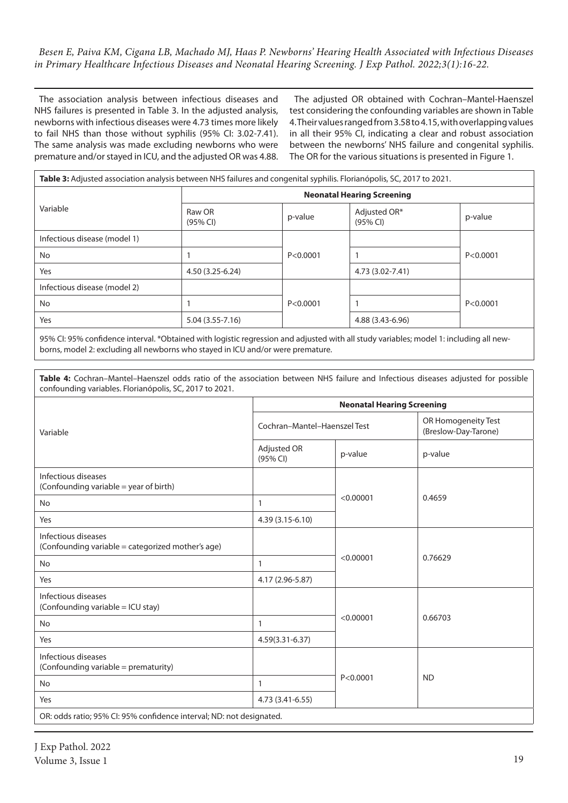The association analysis between infectious diseases and NHS failures is presented in Table 3. In the adjusted analysis, newborns with infectious diseases were 4.73 times more likely to fail NHS than those without syphilis (95% CI: 3.02-7.41). The same analysis was made excluding newborns who were premature and/or stayed in ICU, and the adjusted OR was 4.88.

The adjusted OR obtained with Cochran–Mantel-Haenszel test considering the confounding variables are shown in Table 4. Their values ranged from 3.58 to 4.15, with overlapping values in all their 95% CI, indicating a clear and robust association between the newborns' NHS failure and congenital syphilis. The OR for the various situations is presented in Figure 1.

| Table 3: Adjusted association analysis between NHS failures and congenital syphilis. Florianópolis, SC, 2017 to 2021. |                                   |            |                          |            |
|-----------------------------------------------------------------------------------------------------------------------|-----------------------------------|------------|--------------------------|------------|
|                                                                                                                       | <b>Neonatal Hearing Screening</b> |            |                          |            |
| Variable                                                                                                              | Raw OR<br>(95% CI)                | p-value    | Adjusted OR*<br>(95% CI) | p-value    |
| Infectious disease (model 1)                                                                                          |                                   |            |                          |            |
| No                                                                                                                    |                                   | P < 0.0001 |                          | P < 0.0001 |
| Yes                                                                                                                   | 4.50 (3.25-6.24)                  |            | 4.73 (3.02-7.41)         |            |
| Infectious disease (model 2)                                                                                          |                                   |            |                          |            |
| No.                                                                                                                   |                                   | P < 0.0001 |                          | P < 0.0001 |
| Yes                                                                                                                   | $5.04(3.55 - 7.16)$               |            | 4.88 (3.43-6.96)         |            |

95% CI: 95% confidence interval. \*Obtained with logistic regression and adjusted with all study variables; model 1: including all newborns, model 2: excluding all newborns who stayed in ICU and/or were premature.

**Table 4:** Cochran–Mantel–Haenszel odds ratio of the association between NHS failure and Infectious diseases adjusted for possible confounding variables. Florianópolis, SC, 2017 to 2021.

|                                                                          | <b>Neonatal Hearing Screening</b> |            |                                             |  |
|--------------------------------------------------------------------------|-----------------------------------|------------|---------------------------------------------|--|
| Variable                                                                 | Cochran-Mantel-Haenszel Test      |            | OR Homogeneity Test<br>(Breslow-Day-Tarone) |  |
|                                                                          | Adjusted OR<br>(95% CI)           | p-value    | p-value                                     |  |
| Infectious diseases<br>(Confounding variable = year of birth)            |                                   |            |                                             |  |
| <b>No</b>                                                                | $\mathbf{1}$                      | < 0.00001  | 0.4659                                      |  |
| Yes                                                                      | $4.39(3.15-6.10)$                 |            |                                             |  |
| Infectious diseases<br>(Confounding variable = categorized mother's age) |                                   |            |                                             |  |
| <b>No</b>                                                                | $\mathbf{1}$                      | < 0.00001  | 0.76629                                     |  |
| Yes                                                                      | 4.17 (2.96-5.87)                  |            |                                             |  |
| Infectious diseases<br>(Confounding variable = ICU stay)                 |                                   |            |                                             |  |
| <b>No</b>                                                                | $\mathbf{1}$                      | < 0.00001  | 0.66703                                     |  |
| Yes                                                                      | $4.59(3.31-6.37)$                 |            |                                             |  |
| Infectious diseases<br>(Confounding variable = prematurity)              |                                   |            |                                             |  |
| <b>No</b>                                                                | $\mathbf{1}$                      | P < 0.0001 | <b>ND</b>                                   |  |
| Yes                                                                      | 4.73 (3.41-6.55)                  |            |                                             |  |
| OR: odds ratio; 95% CI: 95% confidence interval; ND: not designated.     |                                   |            |                                             |  |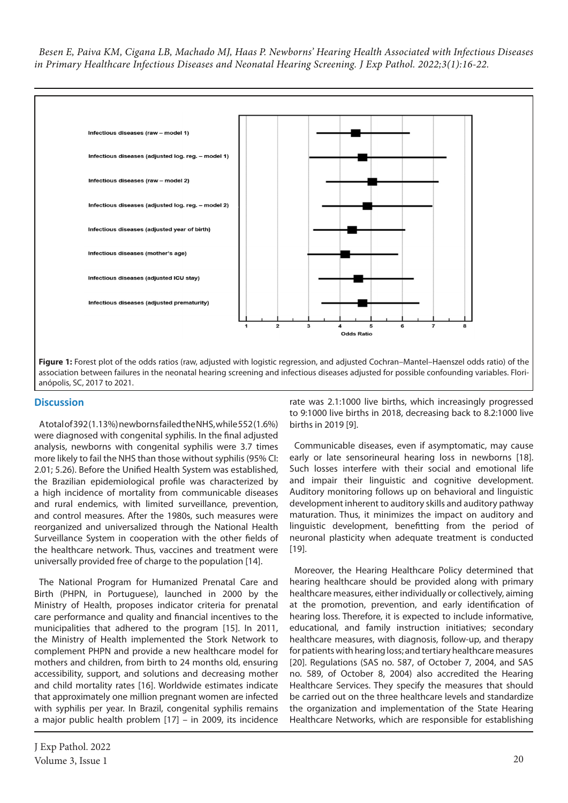

## **Discussion**

A total of 392 (1.13%) newborns failed the NHS, while 552 (1.6%) were diagnosed with congenital syphilis. In the final adjusted analysis, newborns with congenital syphilis were 3.7 times more likely to fail the NHS than those without syphilis (95% CI: 2.01; 5.26). Before the Unified Health System was established, the Brazilian epidemiological profile was characterized by a high incidence of mortality from communicable diseases and rural endemics, with limited surveillance, prevention, and control measures. After the 1980s, such measures were reorganized and universalized through the National Health Surveillance System in cooperation with the other fields of the healthcare network. Thus, vaccines and treatment were universally provided free of charge to the population [14].

The National Program for Humanized Prenatal Care and Birth (PHPN, in Portuguese), launched in 2000 by the Ministry of Health, proposes indicator criteria for prenatal care performance and quality and financial incentives to the municipalities that adhered to the program [15]. In 2011, the Ministry of Health implemented the Stork Network to complement PHPN and provide a new healthcare model for mothers and children, from birth to 24 months old, ensuring accessibility, support, and solutions and decreasing mother and child mortality rates [16]. Worldwide estimates indicate that approximately one million pregnant women are infected with syphilis per year. In Brazil, congenital syphilis remains a major public health problem [17] – in 2009, its incidence

rate was 2.1:1000 live births, which increasingly progressed to 9:1000 live births in 2018, decreasing back to 8.2:1000 live births in 2019 [9].

Communicable diseases, even if asymptomatic, may cause early or late sensorineural hearing loss in newborns [18]. Such losses interfere with their social and emotional life and impair their linguistic and cognitive development. Auditory monitoring follows up on behavioral and linguistic development inherent to auditory skills and auditory pathway maturation. Thus, it minimizes the impact on auditory and linguistic development, benefitting from the period of neuronal plasticity when adequate treatment is conducted [19].

Moreover, the Hearing Healthcare Policy determined that hearing healthcare should be provided along with primary healthcare measures, either individually or collectively, aiming at the promotion, prevention, and early identification of hearing loss. Therefore, it is expected to include informative, educational, and family instruction initiatives; secondary healthcare measures, with diagnosis, follow-up, and therapy for patients with hearing loss; and tertiary healthcare measures [20]. Regulations (SAS no. 587, of October 7, 2004, and SAS no. 589, of October 8, 2004) also accredited the Hearing Healthcare Services. They specify the measures that should be carried out on the three healthcare levels and standardize the organization and implementation of the State Hearing Healthcare Networks, which are responsible for establishing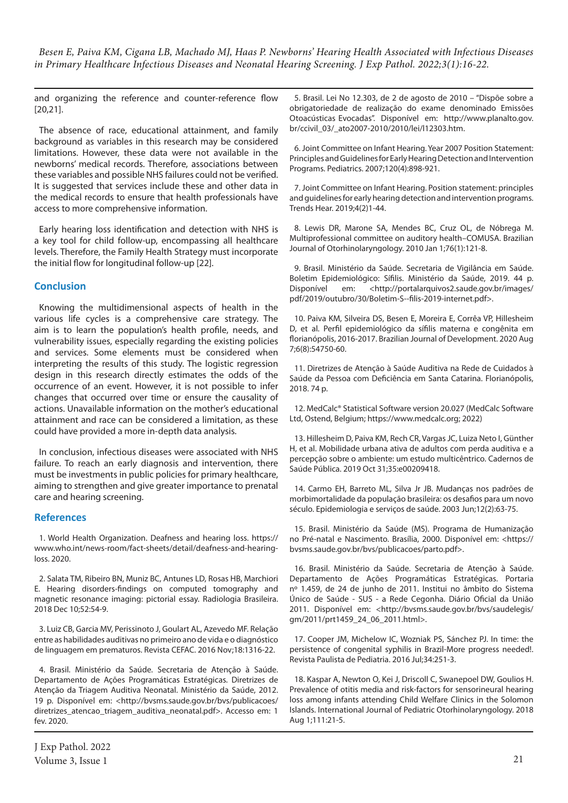and organizing the reference and counter-reference flow [20,21].

The absence of race, educational attainment, and family background as variables in this research may be considered limitations. However, these data were not available in the newborns' medical records. Therefore, associations between these variables and possible NHS failures could not be verified. It is suggested that services include these and other data in the medical records to ensure that health professionals have access to more comprehensive information.

Early hearing loss identification and detection with NHS is a key tool for child follow-up, encompassing all healthcare levels. Therefore, the Family Health Strategy must incorporate the initial flow for longitudinal follow-up [22].

# **Conclusion**

Knowing the multidimensional aspects of health in the various life cycles is a comprehensive care strategy. The aim is to learn the population's health profile, needs, and vulnerability issues, especially regarding the existing policies and services. Some elements must be considered when interpreting the results of this study. The logistic regression design in this research directly estimates the odds of the occurrence of an event. However, it is not possible to infer changes that occurred over time or ensure the causality of actions. Unavailable information on the mother's educational attainment and race can be considered a limitation, as these could have provided a more in-depth data analysis.

In conclusion, infectious diseases were associated with NHS failure. To reach an early diagnosis and intervention, there must be investments in public policies for primary healthcare, aiming to strengthen and give greater importance to prenatal care and hearing screening.

## **References**

1. World Health Organization. Deafness and hearing loss. https:// www.who.int/news-room/fact-sheets/detail/deafness-and-hearingloss. 2020.

2. Salata TM, Ribeiro BN, Muniz BC, Antunes LD, Rosas HB, Marchiori E. Hearing disorders-findings on computed tomography and magnetic resonance imaging: pictorial essay. Radiologia Brasileira. 2018 Dec 10;52:54-9.

3. Luiz CB, Garcia MV, Perissinoto J, Goulart AL, Azevedo MF. Relação entre as habilidades auditivas no primeiro ano de vida e o diagnóstico de linguagem em prematuros. Revista CEFAC. 2016 Nov;18:1316-22.

4. Brasil. Ministério da Saúde. Secretaria de Atenção à Saúde. Departamento de Ações Programáticas Estratégicas. Diretrizes de Atenção da Triagem Auditiva Neonatal. Ministério da Saúde, 2012. 19 p. Disponível em: <http://bvsms.saude.gov.br/bvs/publicacoes/ diretrizes\_atencao\_triagem\_auditiva\_neonatal.pdf>. Accesso em: 1 fev. 2020.

5. Brasil. Lei No 12.303, de 2 de agosto de 2010 – "Dispõe sobre a obrigatoriedade de realização do exame denominado Emissões Otoacústicas Evocadas". Disponível em: http://www.planalto.gov. br/ccivil\_03/\_ato2007-2010/2010/lei/l12303.htm.

6. Joint Committee on Infant Hearing. Year 2007 Position Statement: Principles and Guidelines for Early Hearing Detection and Intervention Programs. Pediatrics. 2007;120(4):898-921.

7. Joint Committee on Infant Hearing. Position statement: principles and guidelines for early hearing detection and intervention programs. Trends Hear. 2019;4(2)1-44.

8. Lewis DR, Marone SA, Mendes BC, Cruz OL, de Nóbrega M. Multiprofessional committee on auditory health–COMUSA. Brazilian Journal of Otorhinolaryngology. 2010 Jan 1;76(1):121-8.

9. Brasil. Ministério da Saúde. Secretaria de Vigilância em Saúde. Boletim Epidemiológico: Sífilis. Ministério da Saúde, 2019. 44 p. Disponível em: <http://portalarquivos2.saude.gov.br/images/ pdf/2019/outubro/30/Boletim-S--filis-2019-internet.pdf>.

10. Paiva KM, Silveira DS, Besen E, Moreira E, Corrêa VP, Hillesheim D, et al. Perfil epidemiológico da sífilis materna e congênita em florianópolis, 2016-2017. Brazilian Journal of Development. 2020 Aug 7;6(8):54750-60.

11. Diretrizes de Atenção à Saúde Auditiva na Rede de Cuidados à Saúde da Pessoa com Deficiência em Santa Catarina. Florianópolis, 2018. 74 p.

12. MedCalc® Statistical Software version 20.027 (MedCalc Software Ltd, Ostend, Belgium; https://www.medcalc.org; 2022)

13. Hillesheim D, Paiva KM, Rech CR, Vargas JC, Luiza Neto I, Günther H, et al. Mobilidade urbana ativa de adultos com perda auditiva e a percepção sobre o ambiente: um estudo multicêntrico. Cadernos de Saúde Pública. 2019 Oct 31;35:e00209418.

14. Carmo EH, Barreto ML, Silva Jr JB. Mudanças nos padrões de morbimortalidade da população brasileira: os desafios para um novo século. Epidemiologia e serviços de saúde. 2003 Jun;12(2):63-75.

15. Brasil. Ministério da Saúde (MS). Programa de Humanização no Pré-natal e Nascimento. Brasília, 2000. Disponível em: <https:// bvsms.saude.gov.br/bvs/publicacoes/parto.pdf>.

16. Brasil. Ministério da Saúde. Secretaria de Atenção à Saúde. Departamento de Ações Programáticas Estratégicas. Portaria nº 1.459, de 24 de junho de 2011. Institui no âmbito do Sistema Único de Saúde - SUS - a Rede Cegonha. Diário Oficial da União 2011. Disponível em: <http://bvsms.saude.gov.br/bvs/saudelegis/ gm/2011/prt1459\_24\_06\_2011.html>.

17. Cooper JM, Michelow IC, Wozniak PS, Sánchez PJ. In time: the persistence of congenital syphilis in Brazil-More progress needed!. Revista Paulista de Pediatria. 2016 Jul;34:251-3.

18. Kaspar A, Newton O, Kei J, Driscoll C, Swanepoel DW, Goulios H. Prevalence of otitis media and risk-factors for sensorineural hearing loss among infants attending Child Welfare Clinics in the Solomon Islands. International Journal of Pediatric Otorhinolaryngology. 2018 Aug 1;111:21-5.